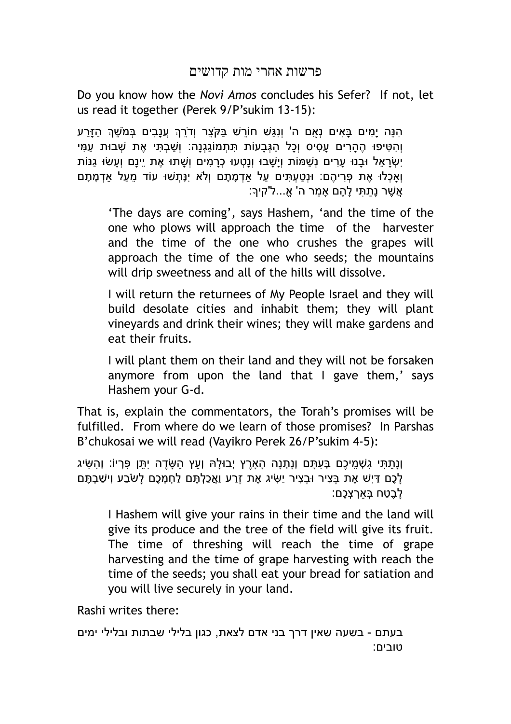## פרשות אחרי מות קדושים

Do you know how the *Novi Amos* concludes his Sefer? If not, let us read it together (Perek 9/P'sukim 13-15):

הָנֵּה יָמִים בָּאִים נְאֻם ה' וְנְגַּשׁ חוֹרֵשׁ בַּקֹּצֶר וְדֹרֵךְ עֲנָבִים בְּמֹשֶׁךְ הַזָּרַע וְ ִה ִטּיפוּ ֶה ָה ִרים ָע ִסיס וְ ָכל ַה ְגּ ָבעוֹת ִתּ ְתמוֹ ַג ְגנָה: וְ ַשׁ ְב ִתּי ֶאת ְשׁבוּת ַע ִמּי יִשׂראל וּבנוּ ערים נִשׁמּוֹת ויִשׁבוּ וּנַטְעוּ כָרמים ושׁתוּ אִת יינם וְעָשׂוּ גִּנּוֹת וְאַכְלוּ אֶת פְּרִיהֶם: וּנְטַעְתִּים עַל אַדְמָתָם וְלֹא יְנַּתְשׁוּ עוֹד מֵעַל אדמַתַם ָאֲשׁר נַתִּתִּי לָהֶם אָמְר ה' אָ...ל'קיךָ:

'The days are coming', says Hashem, 'and the time of the one who plows will approach the time of the harvester and the time of the one who crushes the grapes will approach the time of the one who seeds; the mountains will drip sweetness and all of the hills will dissolve.

I will return the returnees of My People Israel and they will build desolate cities and inhabit them; they will plant vineyards and drink their wines; they will make gardens and eat their fruits.

I will plant them on their land and they will not be forsaken anymore from upon the land that I gave them,' says Hashem your G-d.

That is, explain the commentators, the Torah's promises will be fulfilled. From where do we learn of those promises? In Parshas B'chukosai we will read (Vayikro Perek 26/P'sukim 4-5):

וְנָתַתִּי גִשְׁמֵיכֶם בְּעָתָּם וְנָתְנָה הָאַרֶץ יְבוּלַהּ וְעֵץ הַשֶּׂדֶה יְתֵּן פִּרְיוֹ: וְהָשִׂיג ַלֲכֶם דִּיִשׁ אֶת בַּצִיר וּבַצִיר יַשִּׂיג אֶת זַרַע וַאֲכַלְתֵּם לַחְמְכֶם לַשֹּׂבַע וִישַׁבְתֵּם ַלבֶטח בִּארִצְכֶם:

I Hashem will give your rains in their time and the land will give its produce and the tree of the field will give its fruit. The time of threshing will reach the time of grape harvesting and the time of grape harvesting with reach the time of the seeds; you shall eat your bread for satiation and you will live securely in your land.

Rashi writes there:

בעתם - בשעה שאין דרך בני אדם לצאת, כגון בלילי שבתות ובלילי ימים טובים: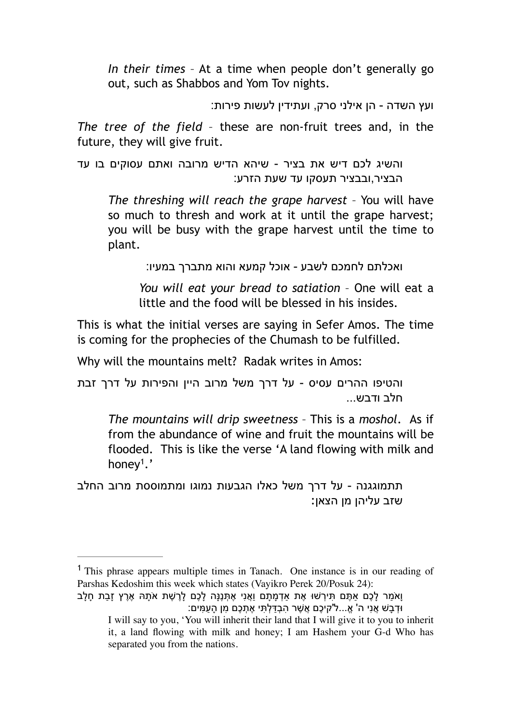*In their times* – At a time when people don't generally go out, such as Shabbos and Yom Tov nights.

ועץ השדה - הן אילני סרק, ועתידין לעשות פירות:

*The tree of the field* – these are non-fruit trees and, in the future, they will give fruit.

והשיג לכם דיש את בציר - שיהא הדיש מרובה ואתם עסוקים בו עד הבציר,ובבציר תעסקו עד שעת הזרע:

*The threshing will reach the grape harvest* – You will have so much to thresh and work at it until the grape harvest; you will be busy with the grape harvest until the time to plant.

ואכלתם לחמכם לשבע - אוכל קמעא והוא מתברך במעיו:

*You will eat your bread to satiation* – One will eat a little and the food will be blessed in his insides.

This is what the initial verses are saying in Sefer Amos. The time is coming for the prophecies of the Chumash to be fulfilled.

Why will the mountains melt? Radak writes in Amos:

והטיפו ההרים עסיס - על דרך משל מרוב היין והפירות על דרך זבת חלב ודבש...

*The mountains will drip sweetness* – This is a *moshol*. As if from the abundance of wine and fruit the mountains will be flooded. This is like the verse 'A land flowing with milk and honey<sup>1</sup>.'

תתמוגגנה - על דרך משל כאלו הגבעות נמוגו ומתמוססת מרוב החלב שזב עליהן מן הצאן:

<sup>1</sup> This phrase appears multiple times in Tanach. One instance is in our reading of Parshas Kedoshim this week which states (Vayikro Perek 20/Posuk 24):

וָאמַר לָכֶם אַתֶּם תִּירְשׁוּ אֶת אַדְמָתָם וַאֲנִי אֶתְּנֵנָּה לָכֶם לָרֵשֶׁת אֹתָהּ אֶרֶץ זָבַת חָלָב ּוּדְבָשׁ אֲנִי ה' אֱ…ל'קיכֶם אֲשֶׁר הְבָדַּלְתִּי אֶתְכֶם מִן הָעַמִּים:

I will say to you, 'You will inherit their land that I will give it to you to inherit it, a land flowing with milk and honey; I am Hashem your G-d Who has separated you from the nations.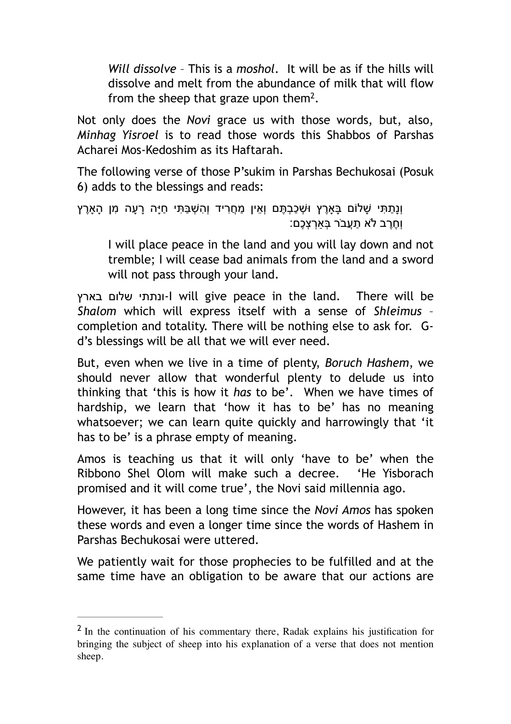*Will dissolve* – This is a *moshol*. It will be as if the hills will dissolve and melt from the abundance of milk that will flow from the sheep that graze upon them<sup>2</sup>.

Not only does the *Novi* grace us with those words, but, also, *Minhag Yisroel* is to read those words this Shabbos of Parshas Acharei Mos-Kedoshim as its Haftarah.

The following verse of those P'sukim in Parshas Bechukosai (Posuk 6) adds to the blessings and reads:

```
וְנַתַּתִּי שָׁלוֹם בַּאַרֵץ וּשָׁכַבְתֵּם וְאֵין מַחֲרִיד וְהְשָׁבַּתִּי חַיַּה רַעַה מִן הָאַרֵץ
                                                   ְוְחֶרֶב לֹא תַעֲבֹר בָּאִרְצָכֶם:
```
I will place peace in the land and you will lay down and not tremble; I will cease bad animals from the land and a sword will not pass through your land.

בארץ שלום ונתתי-I will give peace in the land. There will be *Shalom* which will express itself with a sense of *Shleimus* – completion and totality. There will be nothing else to ask for. Gd's blessings will be all that we will ever need.

But, even when we live in a time of plenty, *Boruch Hashem*, we should never allow that wonderful plenty to delude us into thinking that 'this is how it *has* to be'. When we have times of hardship, we learn that 'how it has to be' has no meaning whatsoever; we can learn quite quickly and harrowingly that 'it has to be' is a phrase empty of meaning.

Amos is teaching us that it will only 'have to be' when the Ribbono Shel Olom will make such a decree. 'He Yisborach promised and it will come true', the Novi said millennia ago.

However, it has been a long time since the *Novi Amos* has spoken these words and even a longer time since the words of Hashem in Parshas Bechukosai were uttered.

We patiently wait for those prophecies to be fulfilled and at the same time have an obligation to be aware that our actions are

 $<sup>2</sup>$  In the continuation of his commentary there, Radak explains his justification for</sup> bringing the subject of sheep into his explanation of a verse that does not mention sheep.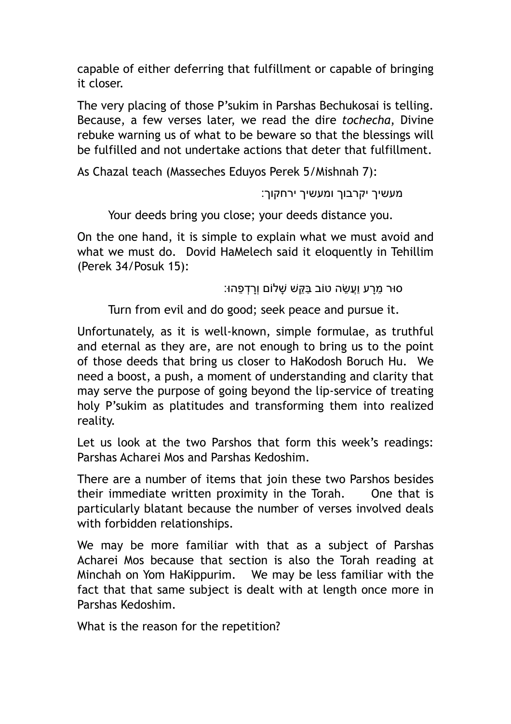capable of either deferring that fulfillment or capable of bringing it closer.

The very placing of those P'sukim in Parshas Bechukosai is telling. Because, a few verses later, we read the dire *tochecha*, Divine rebuke warning us of what to be beware so that the blessings will be fulfilled and not undertake actions that deter that fulfillment.

As Chazal teach (Masseches Eduyos Perek 5/Mishnah 7):

מעשיך יקרבוך ומעשיך ירחקוך:

Your deeds bring you close; your deeds distance you.

On the one hand, it is simple to explain what we must avoid and what we must do. Dovid HaMelech said it eloquently in Tehillim (Perek 34/Posuk 15):

ָסוּר מרע וַעֲשׂה טוֹב בַּקּשׁ שַׁלוֹם וְרִדְפָהוּ:

Turn from evil and do good; seek peace and pursue it.

Unfortunately, as it is well-known, simple formulae, as truthful and eternal as they are, are not enough to bring us to the point of those deeds that bring us closer to HaKodosh Boruch Hu. We need a boost, a push, a moment of understanding and clarity that may serve the purpose of going beyond the lip-service of treating holy P'sukim as platitudes and transforming them into realized reality.

Let us look at the two Parshos that form this week's readings: Parshas Acharei Mos and Parshas Kedoshim.

There are a number of items that join these two Parshos besides their immediate written proximity in the Torah. One that is particularly blatant because the number of verses involved deals with forbidden relationships.

We may be more familiar with that as a subject of Parshas Acharei Mos because that section is also the Torah reading at Minchah on Yom HaKippurim. We may be less familiar with the fact that that same subject is dealt with at length once more in Parshas Kedoshim.

What is the reason for the repetition?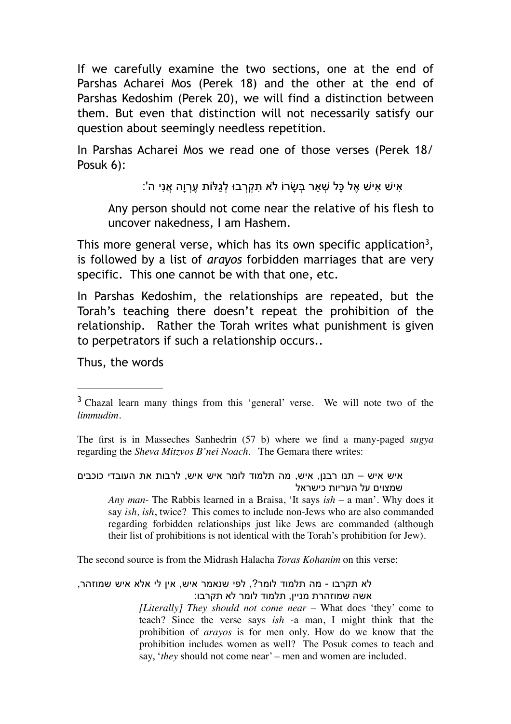If we carefully examine the two sections, one at the end of Parshas Acharei Mos (Perek 18) and the other at the end of Parshas Kedoshim (Perek 20), we will find a distinction between them. But even that distinction will not necessarily satisfy our question about seemingly needless repetition.

In Parshas Acharei Mos we read one of those verses (Perek 18/ Posuk 6):

ָאִישׁ אָישׁ אֶל כָּל שְׁאֵר בְּשָׂרוֹ לֹא תִקְרְבוּ לְגַלּוֹת עֶרְוָה אֲנִי ה':

Any person should not come near the relative of his flesh to uncover nakedness, I am Hashem.

This more general verse, which has its own specific application<sup>3</sup>, is followed by a list of *arayos* forbidden marriages that are very specific. This one cannot be with that one, etc.

In Parshas Kedoshim, the relationships are repeated, but the Torah's teaching there doesn't repeat the prohibition of the relationship. Rather the Torah writes what punishment is given to perpetrators if such a relationship occurs..

Thus, the words

The first is in Masseches Sanhedrin (57 b) where we find a many-paged *sugya* regarding the *Sheva Mitzvos B'nei Noach*. The Gemara there writes:

## איש איש – תנו רבנן, איש, מה תלמוד לומר איש איש, לרבות את העובדי כוכבים שמצוים על העריות כישראל

*Any man*- The Rabbis learned in a Braisa, 'It says *ish* – a man'. Why does it say *ish, ish*, twice? This comes to include non-Jews who are also commanded regarding forbidden relationships just like Jews are commanded (although their list of prohibitions is not identical with the Torah's prohibition for Jew).

The second source is from the Midrash Halacha *Toras Kohanim* on this verse:

לא תקרבו - מה תלמוד לומר?, לפי שנאמר איש, אין לי אלא איש שמוזהר, אשה שמוזהרת מניין, תלמוד לומר לא תקרבו:

*[Literally] They should not come near* – What does 'they' come to teach? Since the verse says *ish* -a man, I might think that the prohibition of *arayos* is for men only. How do we know that the prohibition includes women as well? The Posuk comes to teach and say, '*they* should not come near' – men and women are included.

<sup>&</sup>lt;sup>3</sup> Chazal learn many things from this 'general' verse. We will note two of the *limmudim*.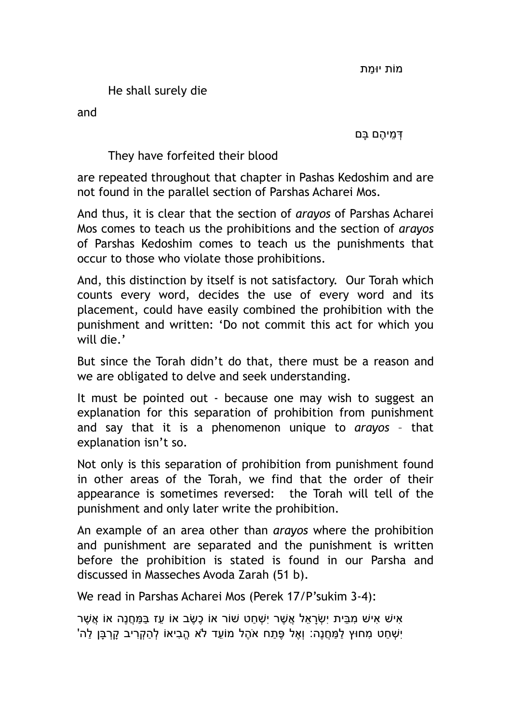He shall surely die

and

ְדּ ֵמי ֶהם ָבּם

They have forfeited their blood

are repeated throughout that chapter in Pashas Kedoshim and are not found in the parallel section of Parshas Acharei Mos.

And thus, it is clear that the section of *arayos* of Parshas Acharei Mos comes to teach us the prohibitions and the section of *arayos* of Parshas Kedoshim comes to teach us the punishments that occur to those who violate those prohibitions.

And, this distinction by itself is not satisfactory. Our Torah which counts every word, decides the use of every word and its placement, could have easily combined the prohibition with the punishment and written: 'Do not commit this act for which you will die.'

But since the Torah didn't do that, there must be a reason and we are obligated to delve and seek understanding.

It must be pointed out - because one may wish to suggest an explanation for this separation of prohibition from punishment and say that it is a phenomenon unique to *arayos* – that explanation isn't so.

Not only is this separation of prohibition from punishment found in other areas of the Torah, we find that the order of their appearance is sometimes reversed: the Torah will tell of the punishment and only later write the prohibition.

An example of an area other than *arayos* where the prohibition and punishment are separated and the punishment is written before the prohibition is stated is found in our Parsha and discussed in Masseches Avoda Zarah (51 b).

We read in Parshas Acharei Mos (Perek 17/P'sukim 3-4):

ָאישׁ אישׁ מבּית יִשׂראל אֲשׁר יִשׁחט שׁוֹר אוֹ כָשׂב אוֹ עז בַּמַּחֲנָה אוֹ אַשׁר ַיְשָׁחַט מִחוּץ לַמַּחֲנֶה: וְאֵל פֶּתַח אֹהֶל מוֹעֵד לֹא הֱבִיאוֹ לְהַקְרִיב קַרְבַּן לַה'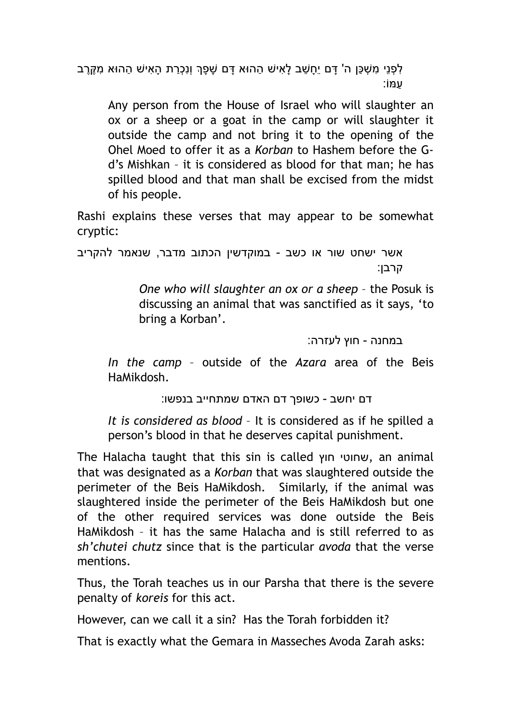ַלְפְנֵי מְשָׁכֵּן ה' דָּם יֵחָשֵׁב לָאִישׁ הַהוּא דָּם שָׁפָּךְ וְנְכְרַת הָאִישׁ הַהוּא מְקֶרֶב ַעמּוֹ:

Any person from the House of Israel who will slaughter an ox or a sheep or a goat in the camp or will slaughter it outside the camp and not bring it to the opening of the Ohel Moed to offer it as a *Korban* to Hashem before the Gd's Mishkan – it is considered as blood for that man; he has spilled blood and that man shall be excised from the midst of his people.

Rashi explains these verses that may appear to be somewhat cryptic:

אשר ישחט שור או כשב - במוקדשין הכתוב מדבר, שנאמר להקריב קרבן:

> *One who will slaughter an ox or a sheep* – the Posuk is discussing an animal that was sanctified as it says, 'to bring a Korban'.

> > במחנה - חוץ לעזרה:

*In the camp* – outside of the *Azara* area of the Beis HaMikdosh.

דם יחשב - כשופך דם האדם שמתחייב בנפשו:

*It is considered as blood* – It is considered as if he spilled a person's blood in that he deserves capital punishment.

The Halacha taught that this sin is called חוץ שחוטי, an animal that was designated as a *Korban* that was slaughtered outside the perimeter of the Beis HaMikdosh. Similarly, if the animal was slaughtered inside the perimeter of the Beis HaMikdosh but one of the other required services was done outside the Beis HaMikdosh – it has the same Halacha and is still referred to as *sh'chutei chutz* since that is the particular *avoda* that the verse mentions.

Thus, the Torah teaches us in our Parsha that there is the severe penalty of *koreis* for this act.

However, can we call it a sin? Has the Torah forbidden it?

That is exactly what the Gemara in Masseches Avoda Zarah asks: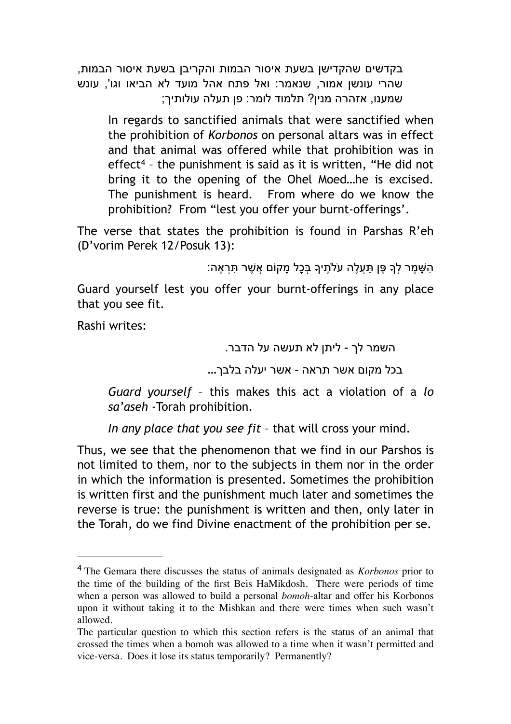בקדשים שהקדישן בשעת איסור הבמות והקריבן בשעת איסור הבמות, שהרי עונשן אמור, שנאמר: ואל פתח אהל מועד לא הביאו וגו', עונש שמענו, אזהרה מנין? תלמוד לומר: פן תעלה עולותיך;

In regards to sanctified animals that were sanctified when the prohibition of *Korbonos* on personal altars was in effect and that animal was offered while that prohibition was in effect<sup>4</sup> - the punishment is said as it is written, "He did not bring it to the opening of the Ohel Moed…he is excised. The punishment is heard. From where do we know the prohibition? From "lest you offer your burnt-offerings'.

The verse that states the prohibition is found in Parshas R'eh (D'vorim Perek 12/Posuk 13):

```
ָה שַׁמֵר לְךָ פֵּן תִּעֲלֵה עֹלֹתֵיךָ בְּכַל מִקוֹם אֲשֶׁר תִּרְאֶה:
```
Guard yourself lest you offer your burnt-offerings in any place that you see fit.

Rashi writes:

השמר לך - ליתן לא תעשה על הדבר.

בכל מקום אשר תראה - אשר יעלה בלבך...

*Guard yourself* – this makes this act a violation of a *lo sa'aseh* -Torah prohibition.

*In any place that you see fit* – that will cross your mind.

Thus, we see that the phenomenon that we find in our Parshos is not limited to them, nor to the subjects in them nor in the order in which the information is presented. Sometimes the prohibition is written first and the punishment much later and sometimes the reverse is true: the punishment is written and then, only later in the Torah, do we find Divine enactment of the prohibition per se.

The Gemara there discusses the status of animals designated as *Korbonos* prior to <sup>4</sup> the time of the building of the first Beis HaMikdosh. There were periods of time when a person was allowed to build a personal *bomoh*-altar and offer his Korbonos upon it without taking it to the Mishkan and there were times when such wasn't allowed.

The particular question to which this section refers is the status of an animal that crossed the times when a bomoh was allowed to a time when it wasn't permitted and vice-versa. Does it lose its status temporarily? Permanently?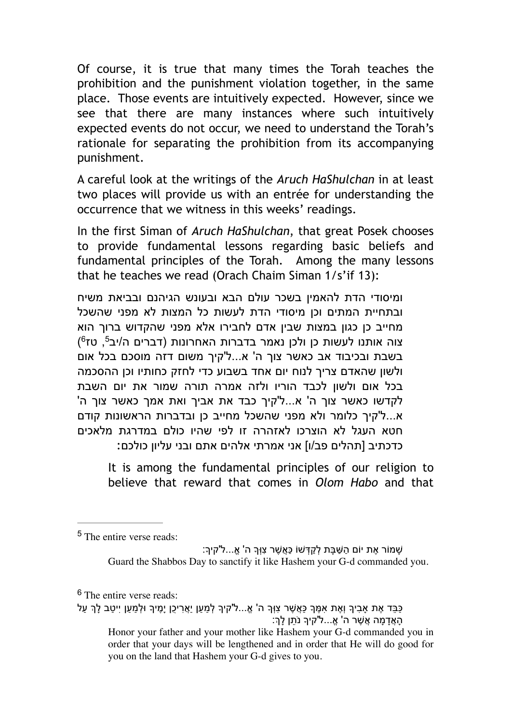Of course, it is true that many times the Torah teaches the prohibition and the punishment violation together, in the same place. Those events are intuitively expected. However, since we see that there are many instances where such intuitively expected events do not occur, we need to understand the Torah's rationale for separating the prohibition from its accompanying punishment.

A careful look at the writings of the *Aruch HaShulchan* in at least two places will provide us with an entrée for understanding the occurrence that we witness in this weeks' readings.

In the first Siman of *Aruch HaShulchan*, that great Posek chooses to provide fundamental lessons regarding basic beliefs and fundamental principles of the Torah. Among the many lessons that he teaches we read (Orach Chaim Siman 1/s'if 13):

ומיסודי הדת להאמין בשכר עולם הבא ובעונש הגיהנם ובביאת משיח ובתחיית המתים וכן מיסודי הדת לעשות כל המצות לא מפני שהשכל מחייב כן כגון במצות שבין אדם לחבירו אלא מפני שהקדוש ברוך הוא צוה אותנו לעשות כן ולכן נאמר בדברות האחרונות (דברים ה/יב<sup>5</sup>, טז<sup>6</sup>) בשבת ובכיבוד אב כאשר צוך ה' א...ל'קיך משום דזה מוסכם בכל אום ולשון שהאדם צריך לנוח יום אחד בשבוע כדי לחזק כחותיו וכן ההסכמה בכל אום ולשון לכבד הוריו ולזה אמרה תורה שמור את יום השבת לקדשו כאשר צוך ה' א...ל'קיך כבד את אביך ואת אמך כאשר צוך ה' א...ל'קיך כלומר ולא מפני שהשכל מחייב כן ובדברות הראשונות קודם חטא העגל לא הוצרכו לאזהרה זו לפי שהיו כולם במדרגת מלאכים כדכתיב [תהלים פב/ו] אני אמרתי אלהים אתם ובני עליון כולכם:

It is among the fundamental principles of our religion to believe that reward that comes in *Olom Habo* and that

ַשׁמּוֹר אֶת יוֹם הַשַּׁבַּת לְקַדְּשׁוֹ כַּאֲשֶׁר צְוִּךָ ה' אֱ...ל'קיך: Guard the Shabbos Day to sanctify it like Hashem your G-d commanded you.

ַכּבּד אַת אביך וְאֶת אַמֵּךְ כַּאֲשָׁר צוּךָ ה' אֲ...ל'קיךָ למען יאַריכן ימֵיךָ וּלמען ייטב לךְ על ָהַאֲדָמַה אֲשֶׁר ה' אֱ…ל'קיך נֹתֶן לַךְ Honor your father and your mother like Hashem your G-d commanded you in order that your days will be lengthened and in order that He will do good for

you on the land that Hashem your G-d gives to you.

<sup>&</sup>lt;sup>5</sup> The entire verse reads:

<sup>&</sup>lt;sup>6</sup> The entire verse reads: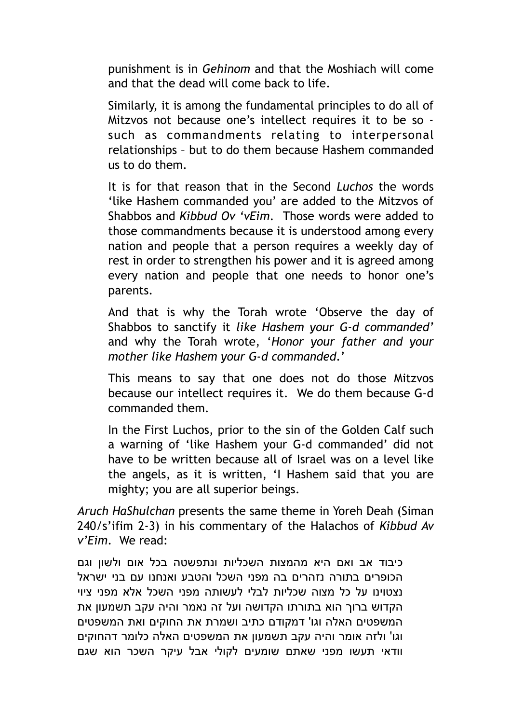punishment is in *Gehinom* and that the Moshiach will come and that the dead will come back to life.

Similarly, it is among the fundamental principles to do all of Mitzvos not because one's intellect requires it to be so such as commandments relating to interpersonal relationships – but to do them because Hashem commanded us to do them.

It is for that reason that in the Second *Luchos* the words 'like Hashem commanded you' are added to the Mitzvos of Shabbos and *Kibbud Ov 'vEim*. Those words were added to those commandments because it is understood among every nation and people that a person requires a weekly day of rest in order to strengthen his power and it is agreed among every nation and people that one needs to honor one's parents.

And that is why the Torah wrote 'Observe the day of Shabbos to sanctify it *like Hashem your G-d commanded'* and why the Torah wrote, '*Honor your father and your mother like Hashem your G-d commanded*.'

This means to say that one does not do those Mitzvos because our intellect requires it. We do them because G-d commanded them.

In the First Luchos, prior to the sin of the Golden Calf such a warning of 'like Hashem your G-d commanded' did not have to be written because all of Israel was on a level like the angels, as it is written, 'I Hashem said that you are mighty; you are all superior beings.

*Aruch HaShulchan* presents the same theme in Yoreh Deah (Siman 240/s'ifim 2-3) in his commentary of the Halachos of *Kibbud Av v'Eim*. We read:

כיבוד אב ואם היא מהמצות השכליות ונתפשטה בכל אום ולשון וגם הכופרים בתורה נזהרים בה מפני השכל והטבע ואנחנו עם בני ישראל נצטוינו על כל מצוה שכליות לבלי לעשותה מפני השכל אלא מפני ציוי הקדוש ברוך הוא בתורתו הקדושה ועל זה נאמר והיה עקב תשמעון את המשפטים האלה וגו' דמקודם כתיב ושמרת את החוקים ואת המשפטים וגו' ולזה אומר והיה עקב תשמעון את המשפטים האלה כלומר דהחוקים וודאי תעשו מפני שאתם שומעים לקולי אבל עיקר השכר הוא שגם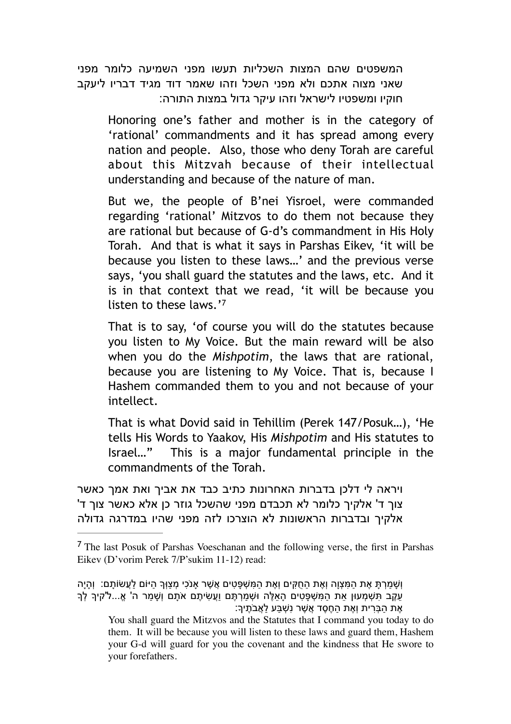המשפטים שהם המצות השכליות תעשו מפני השמיעה כלומר מפני שאני מצוה אתכם ולא מפני השכל וזהו שאמר דוד מגיד דבריו ליעקב חוקיו ומשפטיו לישראל וזהו עיקר גדול במצות התורה:

Honoring one's father and mother is in the category of 'rational' commandments and it has spread among every nation and people. Also, those who deny Torah are careful about this Mitzvah because of their intellectual understanding and because of the nature of man.

But we, the people of B'nei Yisroel, were commanded regarding 'rational' Mitzvos to do them not because they are rational but because of G-d's commandment in His Holy Torah. And that is what it says in Parshas Eikev, 'it will be because you listen to these laws…' and the previous verse says, 'you shall guard the statutes and the laws, etc. And it is in that context that we read, 'it will be because you listen to these laws.'7

That is to say, 'of course you will do the statutes because you listen to My Voice. But the main reward will be also when you do the *Mishpotim*, the laws that are rational, because you are listening to My Voice. That is, because I Hashem commanded them to you and not because of your intellect.

That is what Dovid said in Tehillim (Perek 147/Posuk…), 'He tells His Words to Yaakov, His *Mishpotim* and His statutes to Israel…" This is a major fundamental principle in the commandments of the Torah.

ויראה לי דלכן בדברות האחרונות כתיב כבד את אביך ואת אמך כאשר צוך ד' אלקיך כלומר לא תכבדם מפני שהשכל גוזר כן אלא כאשר צוך ד' אלקיך ובדברות הראשונות לא הוצרכו לזה מפני שהיו במדרגה גדולה

The last Posuk of Parshas Voeschanan and the following verse, the first in Parshas <sup>7</sup> Eikev (D'vorim Perek 7/P'sukim 11-12) read:

וְ ָשׁ ַמ ְר ָתּ ֶאת ַה ִמּ ְצוָה וְ ֶאת ַה ֻח ִקּים וְ ֶאת ַה ִמּ ְשׁ ָפּ ִטים ֲא ֶשׁר אָנֹ ִכי ְמ ַצוְּך ַהיּוֹם ַל ֲעשׂוֹ ָתם: וְ ָהיָה ַעֲקֶב תִּשְׁמְעוּן אֶת הַמִּשְׁפָּטִים הָאֵלֶּה וּשְׁמַרְתֶּם וַעֲשִׂיתֵם אֹתָם וְשַׁמַר ה' אֱ...ל'קיך לך ָאֶת הַבָּרִית וְאֶת הַחֶסֶד אֲשֶׁר נְשְׁבַּע לַאֲבֹתֶיךָ:

You shall guard the Mitzvos and the Statutes that I command you today to do them. It will be because you will listen to these laws and guard them, Hashem your G-d will guard for you the covenant and the kindness that He swore to your forefathers.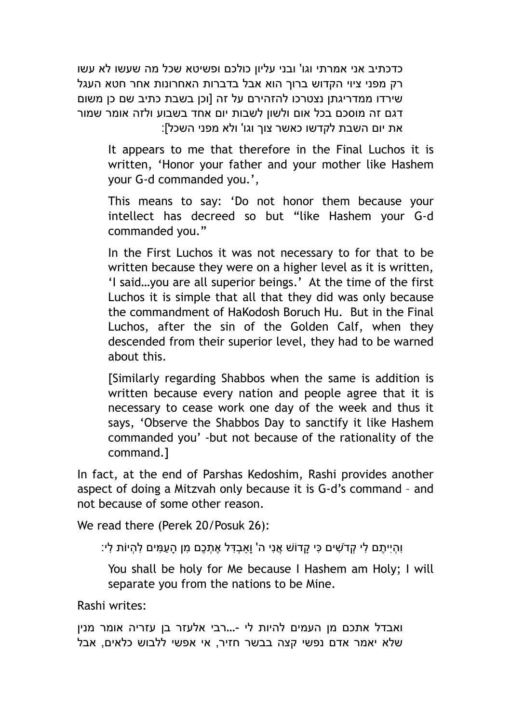כדכתיב אני אמרתי וגו' ובני עליון כולכם ופשיטא שכל מה שעשו לא עשו רק מפני ציוי הקדוש ברוך הוא אבל בדברות האחרונות אחר חטא העגל שירדו ממדריגתן נצטרכו להזהירם על זה [וכן בשבת כתיב שם כן משום דגם זה מוסכם בכל אום ולשון לשבות יום אחד בשבוע ולזה אומר שמור את יום השבת לקדשו כאשר צוך וגו' ולא מפני השכל]:

It appears to me that therefore in the Final Luchos it is written, 'Honor your father and your mother like Hashem your G-d commanded you.',

This means to say: 'Do not honor them because your intellect has decreed so but "like Hashem your G-d commanded you."

In the First Luchos it was not necessary to for that to be written because they were on a higher level as it is written, 'I said…you are all superior beings.' At the time of the first Luchos it is simple that all that they did was only because the commandment of HaKodosh Boruch Hu. But in the Final Luchos, after the sin of the Golden Calf, when they descended from their superior level, they had to be warned about this.

[Similarly regarding Shabbos when the same is addition is written because every nation and people agree that it is necessary to cease work one day of the week and thus it says, 'Observe the Shabbos Day to sanctify it like Hashem commanded you' -but not because of the rationality of the command.]

In fact, at the end of Parshas Kedoshim, Rashi provides another aspect of doing a Mitzvah only because it is G-d's command – and not because of some other reason.

We read there (Perek 20/Posuk 26):

ֿוְהְיִיתֶם לִי קְדֹשִׁים כִּי קָדוֹשׁ אֲנִי ה' וָאַבְדָּל אֶתְכֶם מִן הָעַמִּים לִהְיוֹת לִי:

You shall be holy for Me because I Hashem am Holy; I will separate you from the nations to be Mine.

Rashi writes:

ואבדל אתכם מן העמים להיות לי -...רבי אלעזר בן עזריה אומר מנין שלא יאמר אדם נפשי קצה בבשר חזיר, אי אפשי ללבוש כלאים, אבל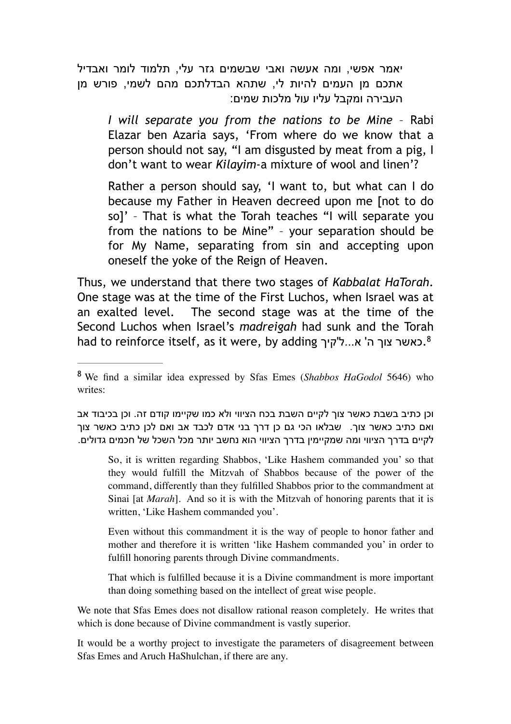יאמר אפשי, ומה אעשה ואבי שבשמים גזר עלי, תלמוד לומר ואבדיל אתכם מן העמים להיות לי, שתהא הבדלתכם מהם לשמי, פורש מן העבירה ומקבל עליו עול מלכות שמים:

*I will separate you from the nations to be Mine* – Rabi Elazar ben Azaria says, 'From where do we know that a person should not say, "I am disgusted by meat from a pig, I don't want to wear *Kilayim*-a mixture of wool and linen'?

Rather a person should say, 'I want to, but what can I do because my Father in Heaven decreed upon me [not to do so]' – That is what the Torah teaches "I will separate you from the nations to be Mine" – your separation should be for My Name, separating from sin and accepting upon oneself the yoke of the Reign of Heaven.

Thus, we understand that there two stages of *Kabbalat HaTorah*. One stage was at the time of the First Luchos, when Israel was at an exalted level. The second stage was at the time of the Second Luchos when Israel's *madreigah* had sunk and the Torah had to reinforce itself, as it were, by adding כאשר צוך ה' א...ל'קיך...

וכן כתיב בשבת כאשר צוך לקיים השבת בכח הציווי ולא כמו שקיימו קודם זה. וכן בכיבוד אב ואם כתיב כאשר צוך. שבלאו הכי גם כן דרך בני אדם לכבד אב ואם לכן כתיב כאשר צוך לקיים בדרך הציווי ומה שמקיימין בדרך הציווי הוא נחשב יותר מכל השכל של חכמים גדולים.

So, it is written regarding Shabbos, 'Like Hashem commanded you' so that they would fulfill the Mitzvah of Shabbos because of the power of the command, differently than they fulfilled Shabbos prior to the commandment at Sinai [at *Marah*]. And so it is with the Mitzvah of honoring parents that it is written, 'Like Hashem commanded you'.

Even without this commandment it is the way of people to honor father and mother and therefore it is written 'like Hashem commanded you' in order to fulfill honoring parents through Divine commandments.

That which is fulfilled because it is a Divine commandment is more important than doing something based on the intellect of great wise people.

We note that Sfas Emes does not disallow rational reason completely. He writes that which is done because of Divine commandment is vastly superior.

It would be a worthy project to investigate the parameters of disagreement between Sfas Emes and Aruch HaShulchan, if there are any.

We find a similar idea expressed by Sfas Emes (*Shabbos HaGodol* 5646) who <sup>8</sup> writes: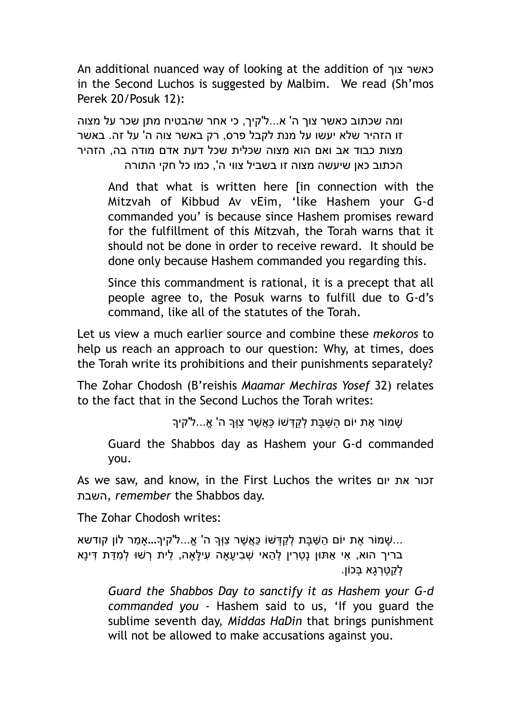An additional nuanced way of looking at the addition of צוך כאשר in the Second Luchos is suggested by Malbim. We read (Sh'mos Perek 20/Posuk 12):

ומה שכתוב כאשר צוך ה' א...ל'קיך, כי אחר שהבטיח מתן שכר על מצוה זו הזהיר שלא יעשו על מנת לקבל פרס, רק באשר צוה ה' על זה. באשר מצות כבוד אב ואם הוא מצוה שכלית שכל דעת אדם מודה בה, הזהיר הכתוב כאן שיעשה מצוה זו בשביל צווי ה', כמו כל חקי התורה

And that what is written here [in connection with the Mitzvah of Kibbud Av vEim, 'like Hashem your G-d commanded you' is because since Hashem promises reward for the fulfillment of this Mitzvah, the Torah warns that it should not be done in order to receive reward. It should be done only because Hashem commanded you regarding this.

Since this commandment is rational, it is a precept that all people agree to, the Posuk warns to fulfill due to G-d's command, like all of the statutes of the Torah.

Let us view a much earlier source and combine these *mekoros* to help us reach an approach to our question: Why, at times, does the Torah write its prohibitions and their punishments separately?

The Zohar Chodosh (B'reishis *Maamar Mechiras Yosef* 32) relates to the fact that in the Second Luchos the Torah writes:

ָשׁמּוֹר אֶת יוֹם הַשּׁבַּת לְקִדָּשׁוֹ כַּאֲשֶׁר צוִּךְ ה' אֱ...ל'קיך

Guard the Shabbos day as Hashem your G-d commanded you.

As we saw, and know, in the First Luchos the writes יום את זכור השבת, *remember* the Shabbos day.

The Zohar Chodosh writes:

... ָשׁמוֹר ֶאת יוֹם ַה ַשּׁ ָבּת ְל ַק ְדּשׁוֹ ַכּ ֲא ֶשׁר ִצוְּך ה' ֱא...ל'קיך...אָ ַמר לוֹן קודשא ָבּריך הוא, אִי אַתּוּן נַטְרִין לְהַאי שִׁבִיעֵאה עִילַּאה, לֵית רָשׁוּ לְמִדַּת דִּינַא לקטרגא בּכוֹן.

*Guard the Shabbos Day to sanctify it as Hashem your G-d commanded you* - Hashem said to us, 'If you guard the sublime seventh day, *Middas HaDin* that brings punishment will not be allowed to make accusations against you.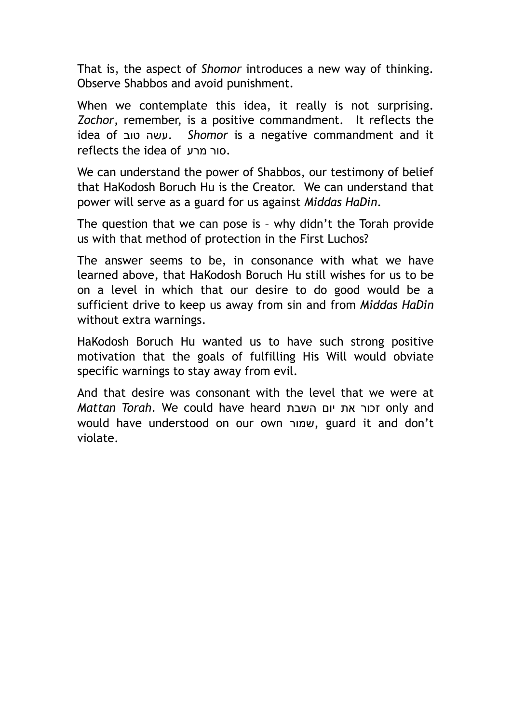That is, the aspect of *Shomor* introduces a new way of thinking. Observe Shabbos and avoid punishment.

When we contemplate this idea, it really is not surprising. *Zochor*, remember, is a positive commandment. It reflects the idea of טוב עשה. *Shomor* is a negative commandment and it reflects the idea of מרע סור.

We can understand the power of Shabbos, our testimony of belief that HaKodosh Boruch Hu is the Creator. We can understand that power will serve as a guard for us against *Middas HaDin*.

The question that we can pose is – why didn't the Torah provide us with that method of protection in the First Luchos?

The answer seems to be, in consonance with what we have learned above, that HaKodosh Boruch Hu still wishes for us to be on a level in which that our desire to do good would be a sufficient drive to keep us away from sin and from *Middas HaDin* without extra warnings.

HaKodosh Boruch Hu wanted us to have such strong positive motivation that the goals of fulfilling His Will would obviate specific warnings to stay away from evil.

And that desire was consonant with the level that we were at *Mattan Torah*. We could have heard השבת יום את זכור only and would have understood on our own שמור, guard it and don't violate.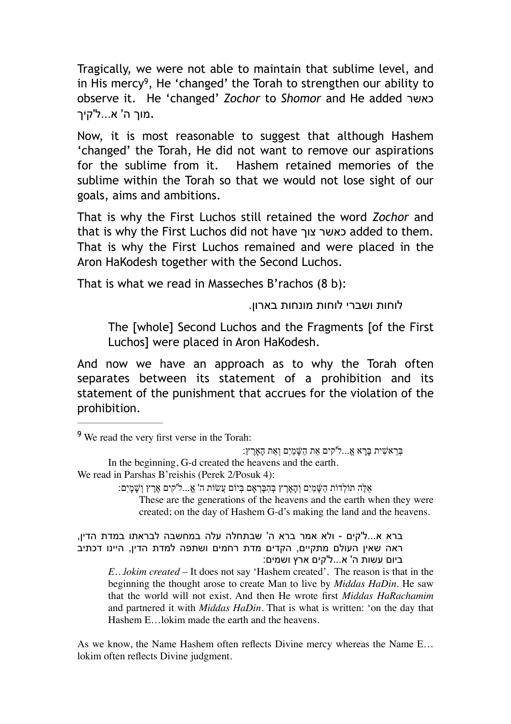Tragically, we were not able to maintain that sublime level, and in His mercy<sup>9</sup>, He 'changed' the Torah to strengthen our ability to observe it. He 'changed' *Zochor* to *Shomor* and He added כאשר .מוך ה' א...ל'קיך

Now, it is most reasonable to suggest that although Hashem 'changed' the Torah, He did not want to remove our aspirations for the sublime from it. Hashem retained memories of the sublime within the Torah so that we would not lose sight of our goals, aims and ambitions.

That is why the First Luchos still retained the word *Zochor* and that is why the First Luchos did not have צוך כאשר added to them. That is why the First Luchos remained and were placed in the Aron HaKodesh together with the Second Luchos.

That is what we read in Masseches B'rachos (8 b):

לוחות ושברי לוחות מונחות בארון.

The [whole] Second Luchos and the Fragments [of the First Luchos] were placed in Aron HaKodesh.

And now we have an approach as to why the Torah often separates between its statement of a prohibition and its statement of the punishment that accrues for the violation of the prohibition.

In the beginning, G-d created the heavens and the earth.

אֵ לֶּה תוֹלְ דוֹת הַשָּׁ מַ יִם וְהָאָרֶ ץ בְּ הִ בָּרְ אָם בְּ יוֹם עֲשׂוֹת ה' א...ֱל'קים אֶ רֶ ץ וְשָׁ מָ יִם:

These are the generations of the heavens and the earth when they were created; on the day of Hashem G-d's making the land and the heavens.

ברא א...ל'קים - ולא אמר ברא ה' שבתחלה עלה במחשבה לבראתו במדת הדין, ראה שאין העולם מתקיים, הקדים מדת רחמים ושתפה למדת הדין, היינו דכתיב ביום עשות ה' א...ל'קים ארץ ושמים:

*E…lokim created* – It does not say 'Hashem created'. The reason is that in the beginning the thought arose to create Man to live by *Middas HaDin*. He saw that the world will not exist. And then He wrote first *Middas HaRachamim* and partnered it with *Middas HaDin*. That is what is written: 'on the day that Hashem E…lokim made the earth and the heavens.

As we know, the Name Hashem often reflects Divine mercy whereas the Name E… lokim often reflects Divine judgment.

<sup>&</sup>lt;sup>9</sup> We read the very first verse in the Torah:

בְּ רֵ אשִׁ ית בָּרָ א א...ֱל'קים אֵ ת הַשָּׁ מַ יִם וְאֵ ת הָאָרֶ ץ:

We read in Parshas B'reishis (Perek 2/Posuk 4):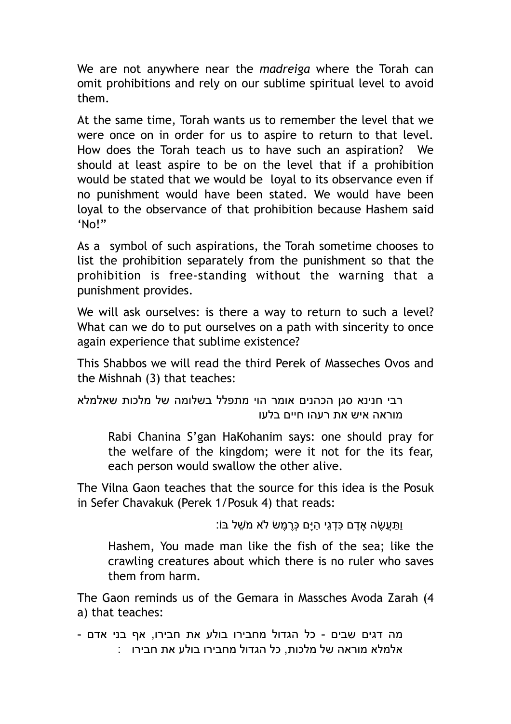We are not anywhere near the *madreiga* where the Torah can omit prohibitions and rely on our sublime spiritual level to avoid them.

At the same time, Torah wants us to remember the level that we were once on in order for us to aspire to return to that level. How does the Torah teach us to have such an aspiration? We should at least aspire to be on the level that if a prohibition would be stated that we would be loyal to its observance even if no punishment would have been stated. We would have been loyal to the observance of that prohibition because Hashem said 'No!"

As a symbol of such aspirations, the Torah sometime chooses to list the prohibition separately from the punishment so that the prohibition is free-standing without the warning that a punishment provides.

We will ask ourselves: is there a way to return to such a level? What can we do to put ourselves on a path with sincerity to once again experience that sublime existence?

This Shabbos we will read the third Perek of Masseches Ovos and the Mishnah (3) that teaches:

רבי חנינא סגן הכהנים אומר הוי מתפלל בשלומה של מלכות שאלמלא מוראה איש את רעהו חיים בלעו

Rabi Chanina S'gan HaKohanim says: one should pray for the welfare of the kingdom; were it not for the its fear, each person would swallow the other alive.

The Vilna Gaon teaches that the source for this idea is the Posuk in Sefer Chavakuk (Perek 1/Posuk 4) that reads:

וַ ַתֲּע ֶשׂה אָָדם ִכּ ְד ֵגי ַהיָּם ְכֶּר ֶמשׂ לא מֹ ֵשׁל בּוֹ:

Hashem, You made man like the fish of the sea; like the crawling creatures about which there is no ruler who saves them from harm.

The Gaon reminds us of the Gemara in Massches Avoda Zarah (4 a) that teaches:

מה דגים שבים - כל הגדול מחבירו בולע את חבירו, אף בני אדם - אלמלא מוראה של מלכות, כל הגדול מחבירו בולע את חבירו :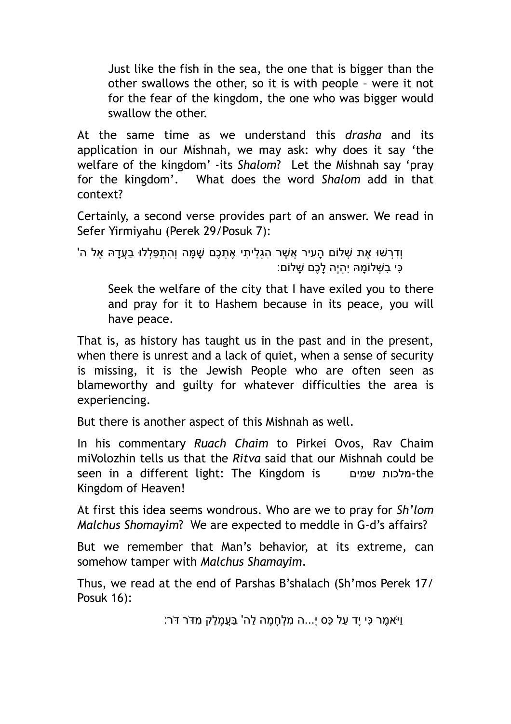Just like the fish in the sea, the one that is bigger than the other swallows the other, so it is with people – were it not for the fear of the kingdom, the one who was bigger would swallow the other.

At the same time as we understand this *drasha* and its application in our Mishnah, we may ask: why does it say 'the welfare of the kingdom' -its *Shalom*? Let the Mishnah say 'pray for the kingdom'. What does the word *Shalom* add in that context?

Certainly, a second verse provides part of an answer. We read in Sefer Yirmiyahu (Perek 29/Posuk 7):

ְוִדְרָשׁוּ אֶת שָׁלוֹם הַעִיר אֲשֶׁר הגֶליתי אֶתֶכֶם שַׁמּה וְהתָפִּלְלוּ בַעֲדָהּ אֶל ה' ָּכִּי בִשְׁלוֹמָהּ יִהְיֶה לָכֶם שַׁלוֹם:

Seek the welfare of the city that I have exiled you to there and pray for it to Hashem because in its peace, you will have peace.

That is, as history has taught us in the past and in the present, when there is unrest and a lack of quiet, when a sense of security is missing, it is the Jewish People who are often seen as blameworthy and guilty for whatever difficulties the area is experiencing.

But there is another aspect of this Mishnah as well.

In his commentary *Ruach Chaim* to Pirkei Ovos, Rav Chaim miVolozhin tells us that the *Ritva* said that our Mishnah could be seen in a different light: The Kingdom is שמים מלכות-the Kingdom of Heaven!

At first this idea seems wondrous. Who are we to pray for *Sh'lom Malchus Shomayim*? We are expected to meddle in G-d's affairs?

But we remember that Man's behavior, at its extreme, can somehow tamper with *Malchus Shamayim*.

Thus, we read at the end of Parshas B'shalach (Sh'mos Perek 17/ Posuk 16):

וַיֹּא ֶמר ִכּי יָד ַעל ֵכּס י...ָה ִמ ְל ָח ָמה ַלה' ַבֲּע ָמ ֵלק ִמדֹּר דֹּר: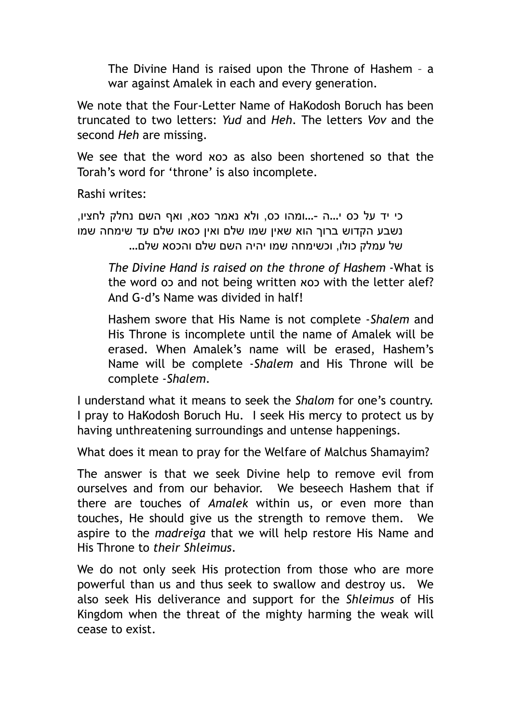The Divine Hand is raised upon the Throne of Hashem – a war against Amalek in each and every generation.

We note that the Four-Letter Name of HaKodosh Boruch has been truncated to two letters: *Yud* and *Heh*. The letters *Vov* and the second *Heh* are missing.

We see that the word כסא as also been shortened so that the Torah's word for 'throne' is also incomplete.

Rashi writes:

כי יד על כס י...ה -...ומהו כס, ולא נאמר כסא, ואף השם נחלק לחציו, נשבע הקדוש ברוך הוא שאין שמו שלם ואין כסאו שלם עד שימחה שמו של עמלק כולו, וכשימחה שמו יהיה השם שלם והכסא שלם...

*The Divine Hand is raised on the throne of Hashem* -What is the word  $\infty$  and not being written  $\infty$  with the letter alef? And G-d's Name was divided in half!

Hashem swore that His Name is not complete -*Shalem* and His Throne is incomplete until the name of Amalek will be erased. When Amalek's name will be erased, Hashem's Name will be complete -*Shalem* and His Throne will be complete -*Shalem*.

I understand what it means to seek the *Shalom* for one's country. I pray to HaKodosh Boruch Hu. I seek His mercy to protect us by having unthreatening surroundings and untense happenings.

What does it mean to pray for the Welfare of Malchus Shamayim?

The answer is that we seek Divine help to remove evil from ourselves and from our behavior. We beseech Hashem that if there are touches of *Amalek* within us, or even more than touches, He should give us the strength to remove them. We aspire to the *madreiga* that we will help restore His Name and His Throne to *their Shleimus*.

We do not only seek His protection from those who are more powerful than us and thus seek to swallow and destroy us. We also seek His deliverance and support for the *Shleimus* of His Kingdom when the threat of the mighty harming the weak will cease to exist.